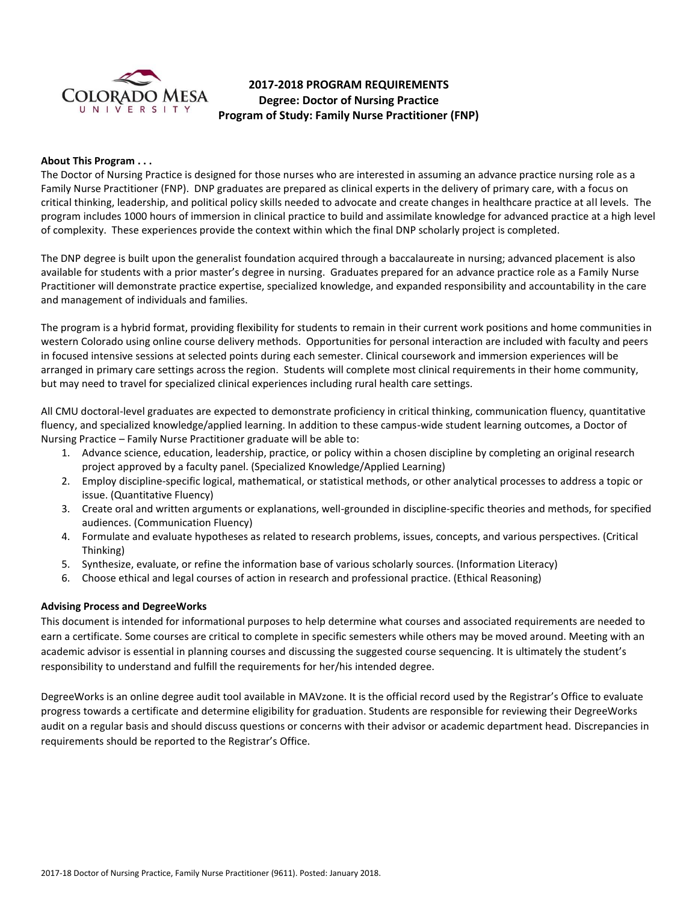

# **2017-2018 PROGRAM REQUIREMENTS Degree: Doctor of Nursing Practice Program of Study: Family Nurse Practitioner (FNP)**

### **About This Program . . .**

The Doctor of Nursing Practice is designed for those nurses who are interested in assuming an advance practice nursing role as a Family Nurse Practitioner (FNP). DNP graduates are prepared as clinical experts in the delivery of primary care, with a focus on critical thinking, leadership, and political policy skills needed to advocate and create changes in healthcare practice at all levels. The program includes 1000 hours of immersion in clinical practice to build and assimilate knowledge for advanced practice at a high level of complexity. These experiences provide the context within which the final DNP scholarly project is completed.

The DNP degree is built upon the generalist foundation acquired through a baccalaureate in nursing; advanced placement is also available for students with a prior master's degree in nursing. Graduates prepared for an advance practice role as a Family Nurse Practitioner will demonstrate practice expertise, specialized knowledge, and expanded responsibility and accountability in the care and management of individuals and families.

The program is a hybrid format, providing flexibility for students to remain in their current work positions and home communities in western Colorado using online course delivery methods. Opportunities for personal interaction are included with faculty and peers in focused intensive sessions at selected points during each semester. Clinical coursework and immersion experiences will be arranged in primary care settings across the region. Students will complete most clinical requirements in their home community, but may need to travel for specialized clinical experiences including rural health care settings.

All CMU doctoral-level graduates are expected to demonstrate proficiency in critical thinking, communication fluency, quantitative fluency, and specialized knowledge/applied learning. In addition to these campus-wide student learning outcomes, a Doctor of Nursing Practice – Family Nurse Practitioner graduate will be able to:

- 1. Advance science, education, leadership, practice, or policy within a chosen discipline by completing an original research project approved by a faculty panel. (Specialized Knowledge/Applied Learning)
- 2. Employ discipline-specific logical, mathematical, or statistical methods, or other analytical processes to address a topic or issue. (Quantitative Fluency)
- 3. Create oral and written arguments or explanations, well-grounded in discipline-specific theories and methods, for specified audiences. (Communication Fluency)
- 4. Formulate and evaluate hypotheses as related to research problems, issues, concepts, and various perspectives. (Critical Thinking)
- 5. Synthesize, evaluate, or refine the information base of various scholarly sources. (Information Literacy)
- 6. Choose ethical and legal courses of action in research and professional practice. (Ethical Reasoning)

### **Advising Process and DegreeWorks**

This document is intended for informational purposes to help determine what courses and associated requirements are needed to earn a certificate. Some courses are critical to complete in specific semesters while others may be moved around. Meeting with an academic advisor is essential in planning courses and discussing the suggested course sequencing. It is ultimately the student's responsibility to understand and fulfill the requirements for her/his intended degree.

DegreeWorks is an online degree audit tool available in MAVzone. It is the official record used by the Registrar's Office to evaluate progress towards a certificate and determine eligibility for graduation. Students are responsible for reviewing their DegreeWorks audit on a regular basis and should discuss questions or concerns with their advisor or academic department head. Discrepancies in requirements should be reported to the Registrar's Office.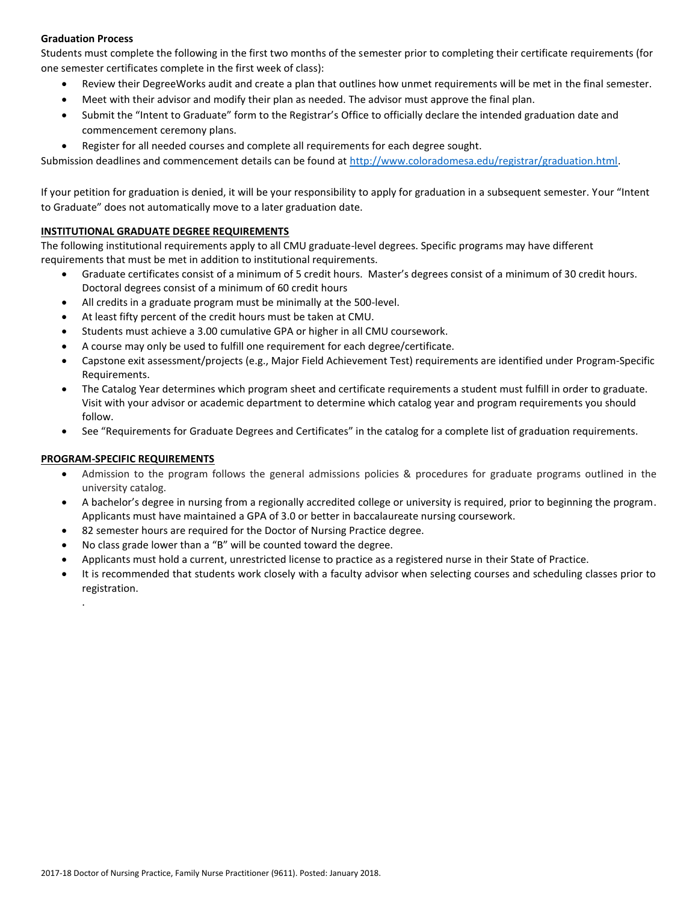# **Graduation Process**

Students must complete the following in the first two months of the semester prior to completing their certificate requirements (for one semester certificates complete in the first week of class):

- Review their DegreeWorks audit and create a plan that outlines how unmet requirements will be met in the final semester.
- Meet with their advisor and modify their plan as needed. The advisor must approve the final plan.
- Submit the "Intent to Graduate" form to the Registrar's Office to officially declare the intended graduation date and commencement ceremony plans.
- Register for all needed courses and complete all requirements for each degree sought.

Submission deadlines and commencement details can be found at [http://www.coloradomesa.edu/registrar/graduation.html.](http://www.coloradomesa.edu/registrar/graduation.html)

If your petition for graduation is denied, it will be your responsibility to apply for graduation in a subsequent semester. Your "Intent to Graduate" does not automatically move to a later graduation date.

# **INSTITUTIONAL GRADUATE DEGREE REQUIREMENTS**

The following institutional requirements apply to all CMU graduate-level degrees. Specific programs may have different requirements that must be met in addition to institutional requirements.

- Graduate certificates consist of a minimum of 5 credit hours. Master's degrees consist of a minimum of 30 credit hours. Doctoral degrees consist of a minimum of 60 credit hours
- All credits in a graduate program must be minimally at the 500-level.
- At least fifty percent of the credit hours must be taken at CMU.
- Students must achieve a 3.00 cumulative GPA or higher in all CMU coursework.
- A course may only be used to fulfill one requirement for each degree/certificate.
- Capstone exit assessment/projects (e.g., Major Field Achievement Test) requirements are identified under Program-Specific Requirements.
- The Catalog Year determines which program sheet and certificate requirements a student must fulfill in order to graduate. Visit with your advisor or academic department to determine which catalog year and program requirements you should follow.
- See "Requirements for Graduate Degrees and Certificates" in the catalog for a complete list of graduation requirements.

### **PROGRAM-SPECIFIC REQUIREMENTS**

.

- Admission to the program follows the general admissions policies & procedures for graduate programs outlined in the university catalog.
- A bachelor's degree in nursing from a regionally accredited college or university is required, prior to beginning the program. Applicants must have maintained a GPA of 3.0 or better in baccalaureate nursing coursework.
- 82 semester hours are required for the Doctor of Nursing Practice degree.
- No class grade lower than a "B" will be counted toward the degree.
- Applicants must hold a current, unrestricted license to practice as a registered nurse in their State of Practice.
- It is recommended that students work closely with a faculty advisor when selecting courses and scheduling classes prior to registration.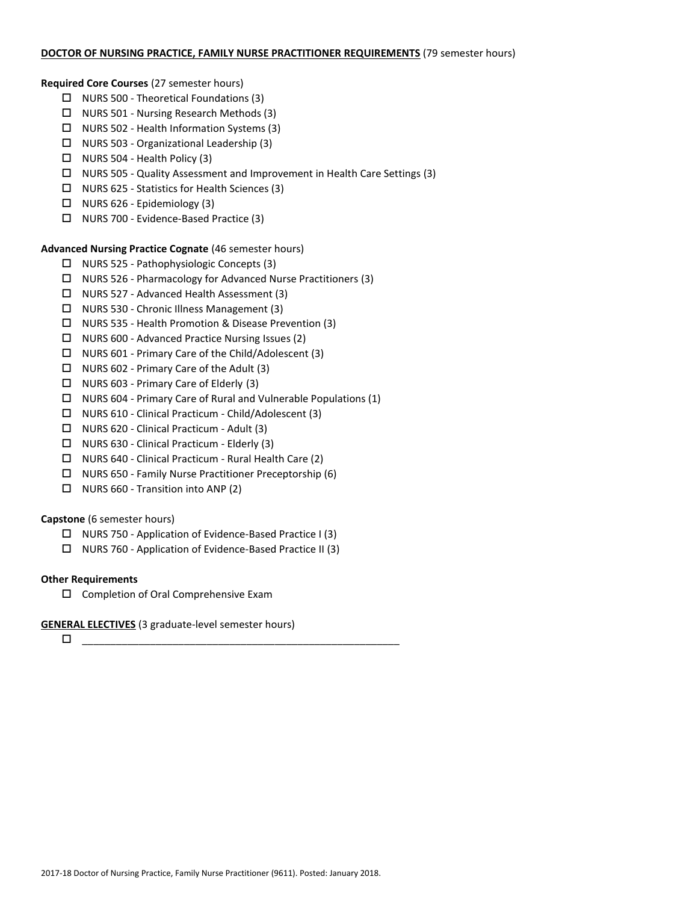### **DOCTOR OF NURSING PRACTICE, FAMILY NURSE PRACTITIONER REQUIREMENTS** (79 semester hours)

### **Required Core Courses** (27 semester hours)

- $\Box$  NURS 500 Theoretical Foundations (3)
- □ NURS 501 Nursing Research Methods (3)
- $\Box$  NURS 502 Health Information Systems (3)
- NURS 503 Organizational Leadership (3)
- $\Box$  NURS 504 Health Policy (3)
- NURS 505 Quality Assessment and Improvement in Health Care Settings (3)
- $\Box$  NURS 625 Statistics for Health Sciences (3)
- $\Box$  NURS 626 Epidemiology (3)
- NURS 700 Evidence-Based Practice (3)

**Advanced Nursing Practice Cognate** (46 semester hours)

- NURS 525 Pathophysiologic Concepts (3)
- $\Box$  NURS 526 Pharmacology for Advanced Nurse Practitioners (3)
- □ NURS 527 Advanced Health Assessment (3)
- □ NURS 530 Chronic Illness Management (3)
- $\Box$  NURS 535 Health Promotion & Disease Prevention (3)
- NURS 600 Advanced Practice Nursing Issues (2)
- $\Box$  NURS 601 Primary Care of the Child/Adolescent (3)
- $\Box$  NURS 602 Primary Care of the Adult (3)
- NURS 603 Primary Care of Elderly (3)
- $\Box$  NURS 604 Primary Care of Rural and Vulnerable Populations (1)
- NURS 610 Clinical Practicum Child/Adolescent (3)
- NURS 620 Clinical Practicum Adult (3)
- NURS 630 Clinical Practicum Elderly (3)
- NURS 640 Clinical Practicum Rural Health Care (2)
- $\Box$  NURS 650 Family Nurse Practitioner Preceptorship (6)
- $\Box$  NURS 660 Transition into ANP (2)

# **Capstone** (6 semester hours)

- $\Box$  NURS 750 Application of Evidence-Based Practice I (3)
- $\Box$  NURS 760 Application of Evidence-Based Practice II (3)

# **Other Requirements**

□ Completion of Oral Comprehensive Exam

# **GENERAL ELECTIVES** (3 graduate-level semester hours)

\_\_\_\_\_\_\_\_\_\_\_\_\_\_\_\_\_\_\_\_\_\_\_\_\_\_\_\_\_\_\_\_\_\_\_\_\_\_\_\_\_\_\_\_\_\_\_\_\_\_\_\_\_\_\_\_